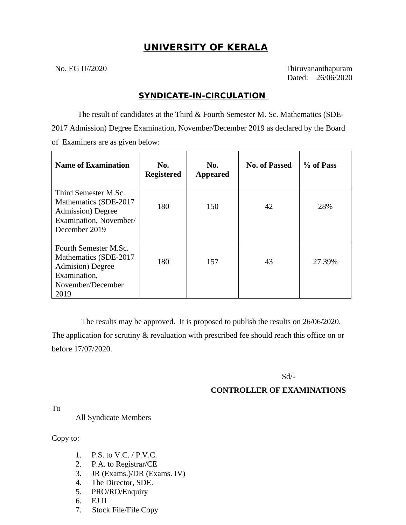# **UNIVERSITY OF KERALA**

No. EG II//2020 Thiruvananthapuram Dated: 26/06/2020

### **SYNDICATE-IN-CIRCULATION**

 The result of candidates at the Third & Fourth Semester M. Sc. Mathematics (SDE-2017 Admission) Degree Examination, November/December 2019 as declared by the Board of Examiners are as given below:

| <b>Name of Examination</b>                                                                                            | No.<br><b>Registered</b> | No.<br><b>Appeared</b> | <b>No. of Passed</b> | % of Pass |
|-----------------------------------------------------------------------------------------------------------------------|--------------------------|------------------------|----------------------|-----------|
| Third Semester M.Sc.<br>Mathematics (SDE-2017<br><b>Admission</b> ) Degree<br>Examination, November/<br>December 2019 | 180                      | 150                    | 42                   | 28%       |
| Fourth Semester M.Sc.<br>Mathematics (SDE-2017<br>Admision) Degree<br>Examination,<br>November/December<br>2019       | 180                      | 157                    | 43                   | 27.39%    |

 The results may be approved. It is proposed to publish the results on 26/06/2020. The application for scrutiny & revaluation with prescribed fee should reach this office on or before 17/07/2020.

Sd/-

### **CONTROLLER OF EXAMINATIONS**

To

All Syndicate Members

Copy to:

- 1. P.S. to V.C. / P.V.C.
- 2. P.A. to Registrar/CE
- 3. JR (Exams.)/DR (Exams. IV)
- 4. The Director, SDE.
- 5. PRO/RO/Enquiry
- 6. EJ II
- 7. Stock File/File Copy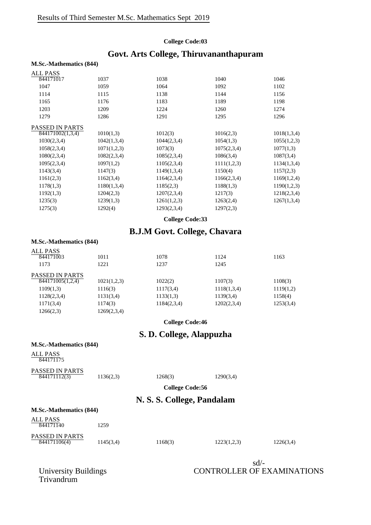#### **College Code:03**

# **Govt. Arts College, Thiruvananthapuram**

| <b>M.Sc.-Mathematics (844)</b> |             |             |             |             |
|--------------------------------|-------------|-------------|-------------|-------------|
| <b>ALL PASS</b>                |             |             |             |             |
| 844171017                      | 1037        | 1038        | 1040        | 1046        |
| 1047                           | 1059        | 1064        | 1092        | 1102        |
| 1114                           | 1115        | 1138        | 1144        | 1156        |
| 1165                           | 1176        | 1183        | 1189        | 1198        |
| 1203                           | 1209        | 1224        | 1260        | 1274        |
| 1279                           | 1286        | 1291        | 1295        | 1296        |
| <b>PASSED IN PARTS</b>         |             |             |             |             |
| $\overline{8441}71002(1,3,4)$  | 1010(1,3)   | 1012(3)     | 1016(2,3)   | 1018(1,3,4) |
| 1030(2,3,4)                    | 1042(1,3,4) | 1044(2,3,4) | 1054(1,3)   | 1055(1,2,3) |
| 1058(2,3,4)                    | 1071(1,2,3) | 1073(3)     | 1075(2,3,4) | 1077(1,3)   |
| 1080(2,3,4)                    | 1082(2,3,4) | 1085(2,3,4) | 1086(3,4)   | 1087(3,4)   |
| 1095(2,3,4)                    | 1097(1,2)   | 1105(2,3,4) | 1111(1,2,3) | 1134(1,3,4) |
| 1143(3,4)                      | 1147(3)     | 1149(1,3,4) | 1150(4)     | 1157(2,3)   |
| 1161(2,3)                      | 1162(3,4)   | 1164(2,3,4) | 1166(2,3,4) | 1169(1,2,4) |
| 1178(1,3)                      | 1180(1,3,4) | 1185(2,3)   | 1188(1,3)   | 1190(1,2,3) |
| 1192(1,3)                      | 1204(2,3)   | 1207(2,3,4) | 1217(3)     | 1218(2,3,4) |
| 1235(3)                        | 1239(1,3)   | 1261(1,2,3) | 1263(2,4)   | 1267(1,3,4) |
| 1275(3)                        | 1292(4)     | 1293(2,3,4) | 1297(2,3)   |             |
|                                |             |             |             |             |

**College Code:33**

### **B.J.M Govt. College, Chavara**

#### **M.Sc.-Mathematics (844)**

| <b>ALL PASS</b>        |             |             |             |           |
|------------------------|-------------|-------------|-------------|-----------|
| 844171003              | 1011        | 1078        | 1124        | 1163      |
| 1173                   | 1221        | 1237        | 1245        |           |
| <b>PASSED IN PARTS</b> |             |             |             |           |
| 844171005(1,2,4)       | 1021(1,2,3) | 1022(2)     | 1107(3)     | 1108(3)   |
| 1109(1,3)              | 1116(3)     | 1117(3,4)   | 1118(1,3,4) | 1119(1,2) |
| 1128(2,3,4)            | 1131(3,4)   | 1133(1,3)   | 1139(3,4)   | 1158(4)   |
| 1171(3,4)              | 1174(3)     | 1184(2,3,4) | 1202(2,3,4) | 1253(3,4) |
| 1266(2,3)              | 1269(2,3,4) |             |             |           |
|                        |             |             |             |           |

**College Code:46**

### **S. D. College, Alappuzha**

### **M.Sc.-Mathematics (844)**

ALL PASS 844171175

#### PASSED IN PARTS 844171112(3) 1136(2,3) 1268(3) 1290(3,4)

**M.Sc.-Mathematics (844)**

**College Code:56**

## **N. S. S. College, Pandalam**

| ALL PASS<br>844171140           | 1259      |         |             |           |
|---------------------------------|-----------|---------|-------------|-----------|
| PASSED IN PARTS<br>844171106(4) | 1145(3,4) | 1168(3) | 1223(1,2,3) | 1226(3,4) |

sd/- CONTROLLER OF EXAMINATIONS

University Buildings<br>Trivandrum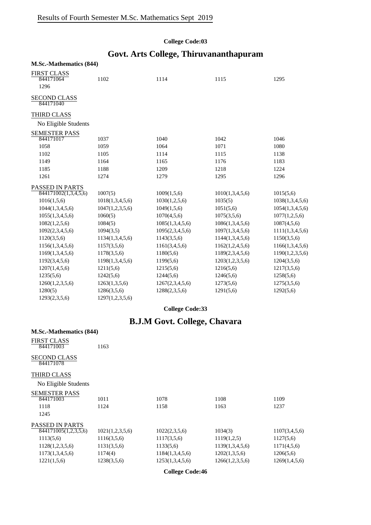### **College Code:03**

# **Govt. Arts College, Thiruvananthapuram**

| <b>M.Sc.-Mathematics (844)</b>          |                 |                 |                 |                 |
|-----------------------------------------|-----------------|-----------------|-----------------|-----------------|
| <b>FIRST CLASS</b><br>844171064<br>1296 | 1102            | 1114            | 1115            | 1295            |
| <b>SECOND CLASS</b><br>844171040        |                 |                 |                 |                 |
| <b>THIRD CLASS</b>                      |                 |                 |                 |                 |
| No Eligible Students                    |                 |                 |                 |                 |
| <b>SEMESTER PASS</b>                    |                 |                 |                 |                 |
| 844171017                               | 1037            | 1040            | 1042            | 1046            |
| 1058                                    | 1059            | 1064            | 1071            | 1080            |
| 1102                                    | 1105            | 1114            | 1115            | 1138            |
| 1149                                    | 1164            | 1165            | 1176            | 1183            |
| 1185                                    | 1188            | 1209            | 1218            | 1224            |
| 1261                                    | 1274            | 1279            | 1295            | 1296            |
| PASSED IN PARTS                         |                 |                 |                 |                 |
| 844171002(1,3,4,5,6)                    | 1007(5)         | 1009(1,5,6)     | 1010(1,3,4,5,6) | 1015(5,6)       |
| 1016(1,5,6)                             | 1018(1,3,4,5,6) | 1030(1,2,5,6)   | 1035(5)         | 1038(1,3,4,5,6) |
| 1044(1,3,4,5,6)                         | 1047(1,2,3,5,6) | 1049(1,5,6)     | 1051(5,6)       | 1054(1,3,4,5,6) |
| 1055(1,3,4,5,6)                         | 1060(5)         | 1070(4,5,6)     | 1075(3,5,6)     | 1077(1,2,5,6)   |
| 1082(1,2,5,6)                           | 1084(5)         | 1085(1,3,4,5,6) | 1086(1,3,4,5,6) | 1087(4,5,6)     |
| 1092(2,3,4,5,6)                         | 1094(3,5)       | 1095(2,3,4,5,6) | 1097(1,3,4,5,6) | 1111(1,3,4,5,6) |
| 1120(3,5,6)                             | 1134(1,3,4,5,6) | 1143(3,5,6)     | 1144(1,3,4,5,6) | 1150(3,5,6)     |
| 1156(1,3,4,5,6)                         | 1157(3,5,6)     | 1161(3,4,5,6)   | 1162(1,2,4,5,6) | 1166(1,3,4,5,6) |
| 1169(1,3,4,5,6)                         | 1178(3,5,6)     | 1180(5,6)       | 1189(2,3,4,5,6) | 1190(1,2,3,5,6) |
| 1192(3,4,5,6)                           | 1198(1,3,4,5,6) | 1199(5,6)       | 1203(1,2,3,5,6) | 1204(3,5,6)     |
| 1207(1,4,5,6)                           | 1211(5,6)       | 1215(5,6)       | 1216(5,6)       | 1217(3,5,6)     |
| 1235(5,6)                               | 1242(5,6)       | 1244(5,6)       | 1246(5,6)       | 1258(5,6)       |
| 1260(1,2,3,5,6)                         | 1263(1,3,5,6)   | 1267(2,3,4,5,6) | 1273(5,6)       | 1275(3,5,6)     |
| 1280(5)                                 | 1286(3,5,6)     | 1288(2,3,5,6)   | 1291(5,6)       | 1292(5,6)       |
| 1293(2,3,5,6)                           | 1297(1,2,3,5,6) |                 |                 |                 |

### **College Code:33**

# **B.J.M Govt. College, Chavara**

| <b>M.Sc.-Mathematics (844)</b>   |                 |                 |                 |               |
|----------------------------------|-----------------|-----------------|-----------------|---------------|
| <b>FIRST CLASS</b><br>844171003  | 1163            |                 |                 |               |
| <b>SECOND CLASS</b><br>844171078 |                 |                 |                 |               |
| <b>THIRD CLASS</b>               |                 |                 |                 |               |
| No Eligible Students             |                 |                 |                 |               |
| <b>SEMESTER PASS</b>             |                 |                 |                 |               |
| 844171003                        | 1011            | 1078            | 1108            | 1109          |
| 1118                             | 1124            | 1158            | 1163            | 1237          |
| 1245                             |                 |                 |                 |               |
| <b>PASSED IN PARTS</b>           |                 |                 |                 |               |
| 844171005(1,2,3,5,6)             | 1021(1,2,3,5,6) | 1022(2,3,5,6)   | 1034(3)         | 1107(3,4,5,6) |
| 1113(5,6)                        | 1116(3,5,6)     | 1117(3,5,6)     | 1119(1,2,5)     | 1127(5,6)     |
| 1128(1,2,3,5,6)                  | 1131(3,5,6)     | 1133(5,6)       | 1139(1,3,4,5,6) | 1171(4,5,6)   |
| 1173(1,3,4,5,6)                  | 1174(4)         | 1184(1,3,4,5,6) | 1202(1,3,5,6)   | 1206(5,6)     |
| 1221(1,5,6)                      | 1238(3,5,6)     | 1253(1,3,4,5,6) | 1266(1,2,3,5,6) | 1269(1,4,5,6) |
|                                  |                 |                 |                 |               |

**College Code:46**